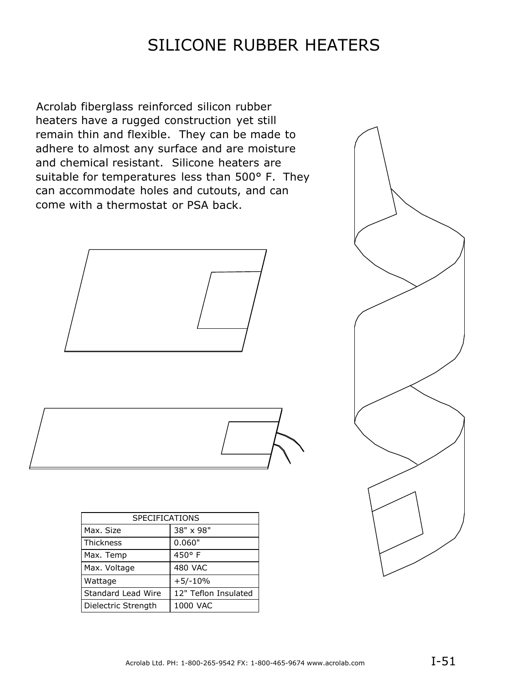# SILICONE RUBBER HEATERS

Acrolab fiberglass reinforced silicon rubber heaters have a rugged construction yet still remain thin and flexible. They can be made to adhere to almost any surface and are moisture and chemical resistant. Silicone heaters are suitable for temperatures less than 500° F. They can accommodate holes and cutouts, and can come with a thermostat or PSA back.



| <b>SPECIFICATIONS</b> |                      |
|-----------------------|----------------------|
| Max. Size             | 38" x 98"            |
| <b>Thickness</b>      | 0.060"               |
| Max. Temp             | 450°F                |
| Max. Voltage          | <b>480 VAC</b>       |
| Wattage               | $+5/-10%$            |
| Standard Lead Wire    | 12" Teflon Insulated |
| Dielectric Strength   | 1000 VAC             |

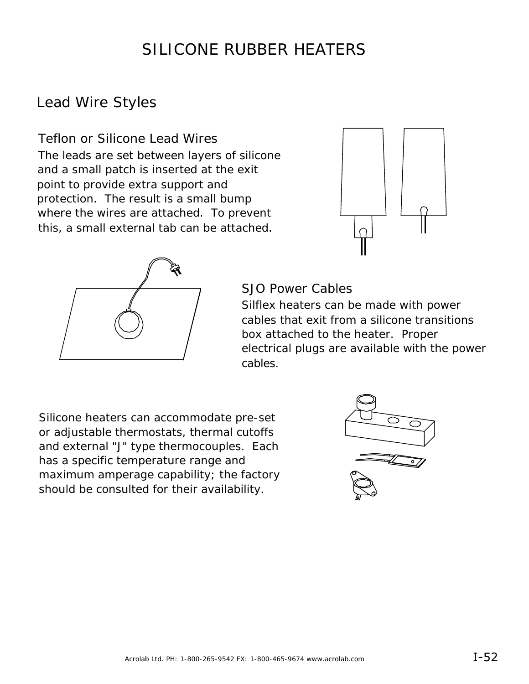# SILICONE RUBBER HEATERS

## Lead Wire Styles

Teflon or Silicone Lead Wires The leads are set between layers of silicone and a small patch is inserted at the exit point to provide extra support and protection. The result is a small bump where the wires are attached. To prevent this, a small external tab can be attached.





#### SJO Power Cables

Silflex heaters can be made with power cables that exit from a silicone transitions box attached to the heater. Proper electrical plugs are available with the power cables.

Silicone heaters can accommodate pre-set or adjustable thermostats, thermal cutoffs and external "J" type thermocouples. Each has a specific temperature range and maximum amperage capability; the factory should be consulted for their availability.

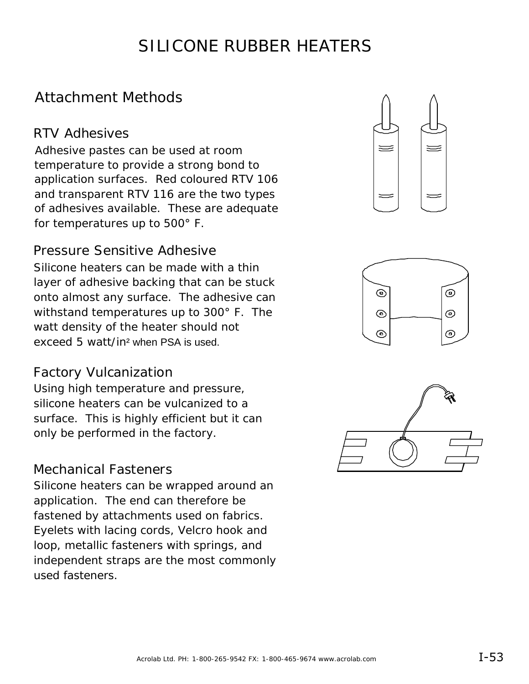# SILICONE RUBBER HEATERS

## Attachment Methods

### RTV Adhesives

Adhesive pastes can be used at room temperature to provide a strong bond to application surfaces. Red coloured RTV 106 and transparent RTV 116 are the two types of adhesives available. These are adequate for temperatures up to 500° F.

### Pressure Sensitive Adhesive

Silicone heaters can be made with a thin layer of adhesive backing that can be stuck onto almost any surface. The adhesive can withstand temperatures up to 300° F. The watt density of the heater should not exceed 5 watt/in² when PSA is used.

#### Factory Vulcanization

Using high temperature and pressure, silicone heaters can be vulcanized to a surface. This is highly efficient but it can only be performed in the factory.

### Mechanical Fasteners

Silicone heaters can be wrapped around an application. The end can therefore be fastened by attachments used on fabrics. Eyelets with lacing cords, Velcro hook and loop, metallic fasteners with springs, and independent straps are the most commonly used fasteners.